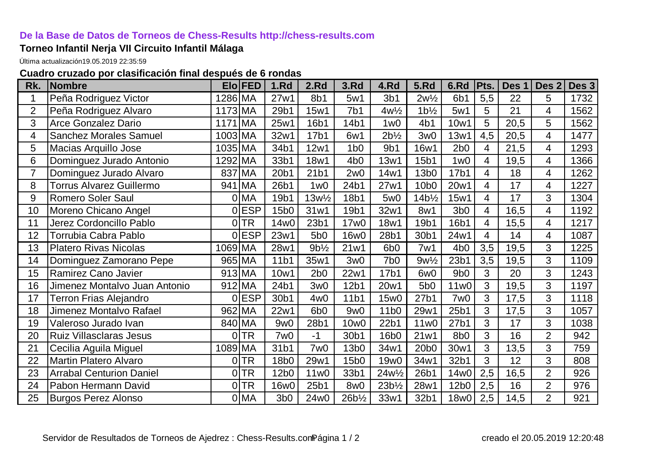## **De la Base de Datos de Torneos de Chess-Results http://chess-results.com**

## **Torneo Infantil Nerja VII Circuito Infantil Málaga**

Última actualización19.05.2019 22:35:59

## **Cuadro cruzado por clasificación final después de 6 rondas**

| Rk.            | <b>Nombre</b>                   |         | Elo FED    | 1.Rd            | 2.Rd                            | 3.Rd               | 4.Rd                            | <b>5.Rd</b>       | 6.Rd             | Pts.           | Des 1 | Des <sub>2</sub>         | Des 3 |
|----------------|---------------------------------|---------|------------|-----------------|---------------------------------|--------------------|---------------------------------|-------------------|------------------|----------------|-------|--------------------------|-------|
| 1              | Peña Rodriguez Victor           | 1286 MA |            | 27w1            | 8 <sub>b1</sub>                 | 5w1                | 3 <sub>b1</sub>                 | $2w\frac{1}{2}$   | 6b1              | 5,5            | 22    | 5                        | 1732  |
| $\overline{2}$ | Peña Rodriguez Alvaro           | 1173 MA |            | 29b1            | 15w1                            | 7b1                | $4w\frac{1}{2}$                 | $1b\frac{1}{2}$   | 5w1              | 5              | 21    | 4                        | 1562  |
| 3              | <b>Arce Gonzalez Dario</b>      | 1171    | <b>MA</b>  | 25w1            | 16b1                            | 14b1               | 1 <sub>w0</sub>                 | 4b1               | 10w1             | 5              | 20,5  | 5                        | 1562  |
| 4              | <b>Sanchez Morales Samuel</b>   | 1003 MA |            | 32w1            | 17b1                            | 6w1                | $2b\frac{1}{2}$                 | 3w0               | 13w1             | 4,5            | 20,5  | $\overline{\mathcal{A}}$ | 1477  |
| 5              | Macias Arquillo Jose            | 1035 MA |            | 34b1            | 12w1                            | 1 <sub>b0</sub>    | 9 <sub>b1</sub>                 | 16w1              | 2 <sub>b0</sub>  | $\overline{4}$ | 21,5  | $\overline{4}$           | 1293  |
| 6              | Dominguez Jurado Antonio        | 1292 MA |            | 33b1            | 18w1                            | 4 <sub>b0</sub>    | 13w1                            | 15b1              | 1 <sub>w0</sub>  | $\overline{4}$ | 19,5  | $\overline{4}$           | 1366  |
| $\overline{7}$ | Dominguez Jurado Alvaro         | 837     | <b>MA</b>  | 20b1            | 21b1                            | 2w0                | 14w1                            | 13b0              | 17b1             | 4              | 18    | $\overline{4}$           | 1262  |
| 8              | <b>Torrus Alvarez Guillermo</b> | 941     | <b>MA</b>  | 26b1            | 1 <sub>W</sub> 0                | 24b1               | 27w1                            | 10 <sub>b</sub> 0 | 20w1             | 4              | 17    | $\overline{4}$           | 1227  |
| 9              | <b>Romero Soler Saul</b>        |         | 0 MA       | 19b1            | 13w <sup>1</sup> / <sub>2</sub> | 18b1               | 5w0                             | $14b\frac{1}{2}$  | 15w1             | 4              | 17    | 3                        | 1304  |
| 10             | Moreno Chicano Angel            | Οl      | <b>ESP</b> | 15b0            | 31w1                            | 19b1               | 32w1                            | 8w1               | 3 <sub>b0</sub>  | $\overline{4}$ | 16,5  | $\overline{\mathcal{A}}$ | 1192  |
| 11             | Jerez Cordoncillo Pablo         | 0       | <b>TR</b>  | 14w0            | 23b1                            | 17w0               | 18w1                            | 19b1              | 16b1             | $\overline{4}$ | 15,5  | $\overline{\mathcal{A}}$ | 1217  |
| 12             | Torrubia Cabra Pablo            |         | $0$ ESP    | 23w1            | 5 <sub>b</sub> 0                | <b>16w0</b>        | 28b1                            | 30b1              | 24w1             | $\overline{4}$ | 14    | $\overline{4}$           | 1087  |
| 13             | <b>Platero Rivas Nicolas</b>    | 1069 MA |            | 28w1            | $9b\frac{1}{2}$                 | 21w1               | 6b <sub>0</sub>                 | 7w1               | 4 <sub>b0</sub>  | 3,5            | 19,5  | 3                        | 1225  |
| 14             | Dominguez Zamorano Pepe         |         | 965 MA     | 11b1            | 35w1                            | 3w <sub>0</sub>    | 7b <sub>0</sub>                 | $9w\frac{1}{2}$   | 23b1             | 3,5            | 19,5  | 3                        | 1109  |
| 15             | Ramirez Cano Javier             |         | 913 MA     | 10w1            | 2 <sub>b0</sub>                 | 22w1               | 17b1                            | 6w0               | 9 <sub>b0</sub>  | 3              | 20    | 3                        | 1243  |
| 16             | Jimenez Montalvo Juan Antonio   |         | 912 MA     | 24b1            | 3w0                             | 12b1               | 20w1                            | 5 <sub>b0</sub>   | 11w0             | 3              | 19,5  | 3                        | 1197  |
| 17             | Terron Frias Alejandro          | 0       | <b>ESP</b> | 30b1            | 4w0                             | 11b1               | 15w0                            | 27b1              | 7w0              | 3              | 17,5  | 3                        | 1118  |
| 18             | Jimenez Montalvo Rafael         |         | 962 MA     | 22w1            | 6b <sub>0</sub>                 | 9w <sub>0</sub>    | 11 <sub>b0</sub>                | 29w1              | 25 <sub>b1</sub> | 3              | 17,5  | 3                        | 1057  |
| 19             | Valeroso Jurado Ivan            |         | 840 MA     | 9w0             | 28b1                            | 10w0               | 22b1                            | 11w0              | 27b1             | 3              | 17    | 3                        | 1038  |
| 20             | Ruiz Villasclaras Jesus         | Οl      | <b>TR</b>  | 7w0             | $-1$                            | 30b1               | 16 <sub>b</sub> 0               | 21w1              | 8b <sub>0</sub>  | 3              | 16    | $\overline{2}$           | 942   |
| 21             | Cecilia Aguila Miguel           | 1089 MA |            | 31b1            | 7w0                             | 13b0               | 34w1                            | 20b0              | 30w1             | 3              | 13,5  | 3                        | 759   |
| 22             | <b>Martin Platero Alvaro</b>    | ΟI      | <b>TR</b>  | 18b0            | 29w1                            | 15b0               | 19w0                            | 34w1              | 32b1             | 3              | 12    | 3                        | 808   |
| 23             | <b>Arrabal Centurion Daniel</b> | 01      | <b>TR</b>  | 12b0            | 11w0                            | 33b1               | 24w <sup>1</sup> / <sub>2</sub> | 26b1              | 14w0             | 2,5            | 16,5  | $\overline{2}$           | 926   |
| 24             | Pabon Hermann David             |         | $0$ TR     | 16w0            | 25 <sub>b1</sub>                | 8w0                | $23b\frac{1}{2}$                | 28w1              | 12b0             | 2,5            | 16    | $\overline{2}$           | 976   |
| 25             | <b>Burgos Perez Alonso</b>      |         | 0 MA       | 3 <sub>b0</sub> | 24w0                            | 26b <sup>1/2</sup> | 33w1                            | 32b1              | 18w0             | 2,5            | 14,5  | $\overline{2}$           | 921   |